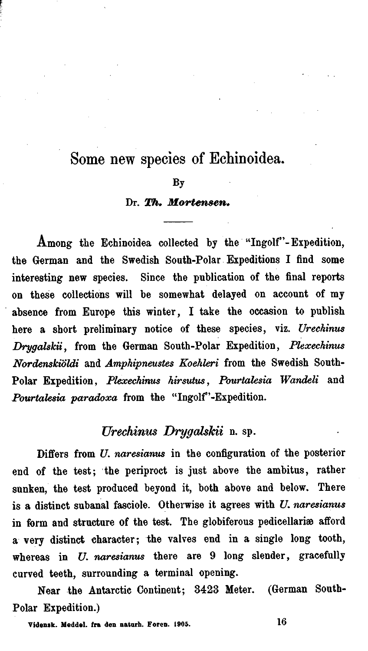# Some new species of Echinoidea.

#### **BY**

### Dr. Th. Mortensen.

Among the Echinoidea collected by the "Ingolf"-Expedition, the German and the Swedish South-Polar Expeditions I find some interesting new species. Since the publication of the final reports on these collections will be somewhat delayed on account of my absence from Europe this winter, I take the occasion to publish here a short preliminary notice of these species, viz. *Urechinus Drygalskii,* from the German South-Polar Expedition, *Plexechinus Nordenskiöldi* and *Amphipneustes Koehleri* from the Swedish South-Polar Expedition, *Phechinus hirsutus* , *Pourtalesia Wandeli* and *Pourtalesia paradoxa* from the "Ingolf'-Expedition.

# **Urechinus** *DrygalsJcii* n. sp.

Differs from U. *nuresianus* in the configuration of the posterior end of the test; the periproct is just above the ambitus, rather sunken, the test produced beyond it, both above and below. There is a distinct subanal fasciole. Otherwise it agrees with U. naresianus in form and structure of the test. The globiferous pedicellariæ afford a very distinct character; the valves end in a single long tooth, whereas in *U. naresianus* there are 9 long slender, gracefully curved teeth, surrounding a terminal opening.

Near the Antarctic Contineut; 3423 Meter. (German South-Polar Expedition.)

**Vide~~rk. Meddd. In den naturh. Foren. 1905. 16**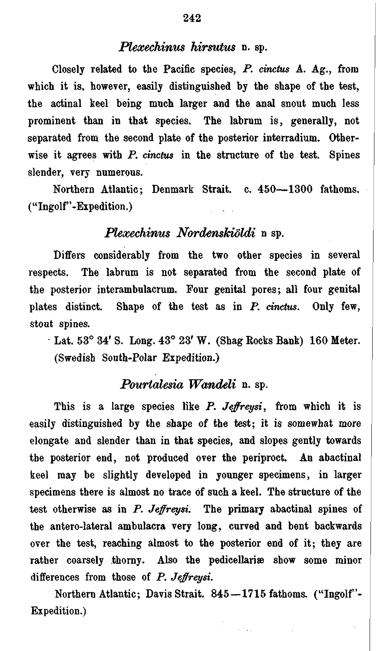## *Plexechinus hirsutus* n. sp.

Closely related to the Pacific species, P. *cinctus* A. Ag., from which it is, however, easily distinguished by the shape of the test, the actinal keel being much larger and the anal snout much less prominent than in that species. The labrum is, generally, not separated from the second plate of the posterior interradium. Otherwise it agrees with P. *cinctus* in the structure of the test. Spines slender, very numerous.

Northern Atlantic; Denmark Strait. c. **450-1300** fathoms. ("Ingolf"-Expedition.)

# *Plexechinus Nordenskiöldi* n sp.

Differs considerably from the two other species in several respects. The labrum is not separated from the second plate of the posterior interambulacrum. Four genital pores; all four genital plates distinct. Shape of the test as in P. *cinctus.* Only few, stout spines.

Lat. **53O** 34' S. Long. **43O 23'** W. (Shag Rocks Bank) **160** Meter. (Swedish South-Polar Expedition.)

# *Pourlalesia Wandeli n.* sp.

This is a large species like P. Jeffreysi, from which it is easily distinguished by the shape of the test; it is somewhat more elongate and slender than in that species, and slopes gently towards the posterior end, not produced over the periproct. An abactinal keel may be slightly developed in younger specimens, in larger specimens there is almost no trace of such a keel. The structure of the test otherwise as in P. Jefreysi. The primary abactinal spines of the antero-lateral ambulacra very long, Curved and bent backwards over the test, reaching almost to the posterior end of it; they are rather coarsely thorny. Also the pedicellariæ show some minor differences from those of  $P.$  Jeffreysi.

Northern Atlantic; Davis Strait. 845-1715 fathoms. ("Ingolf"-Expedition.)